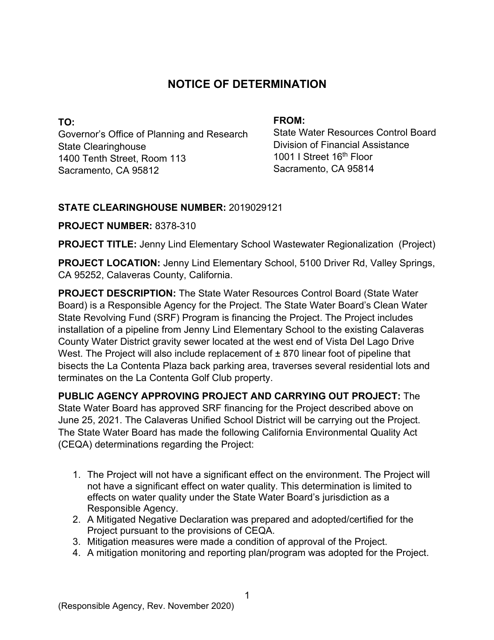# **NOTICE OF DETERMINATION**

**TO:**  Governor's Office of Planning and Research State Clearinghouse 1400 Tenth Street, Room 113 Sacramento, CA 95812

#### **FROM:**

State Water Resources Control Board Division of Financial Assistance 1001 I Street 16<sup>th</sup> Floor Sacramento, CA 95814

## **STATE CLEARINGHOUSE NUMBER:** 2019029121

### **PROJECT NUMBER:** 8378-310

**PROJECT TITLE:** Jenny Lind Elementary School Wastewater Regionalization (Project)

**PROJECT LOCATION:** Jenny Lind Elementary School, 5100 Driver Rd, Valley Springs, CA 95252, Calaveras County, California.

**PROJECT DESCRIPTION:** The State Water Resources Control Board (State Water Board) is a Responsible Agency for the Project. The State Water Board's Clean Water State Revolving Fund (SRF) Program is financing the Project. The Project includes installation of a pipeline from Jenny Lind Elementary School to the existing Calaveras County Water District gravity sewer located at the west end of Vista Del Lago Drive West. The Project will also include replacement of  $\pm$  870 linear foot of pipeline that bisects the La Contenta Plaza back parking area, traverses several residential lots and terminates on the La Contenta Golf Club property.

**PUBLIC AGENCY APPROVING PROJECT AND CARRYING OUT PROJECT:** The State Water Board has approved SRF financing for the Project described above on June 25, 2021. The Calaveras Unified School District will be carrying out the Project. The State Water Board has made the following California Environmental Quality Act (CEQA) determinations regarding the Project:

- 1. The Project will not have a significant effect on the environment. The Project will not have a significant effect on water quality. This determination is limited to effects on water quality under the State Water Board's jurisdiction as a Responsible Agency.
- 2. A Mitigated Negative Declaration was prepared and adopted/certified for the Project pursuant to the provisions of CEQA.
- 3. Mitigation measures were made a condition of approval of the Project.
- 4. A mitigation monitoring and reporting plan/program was adopted for the Project.